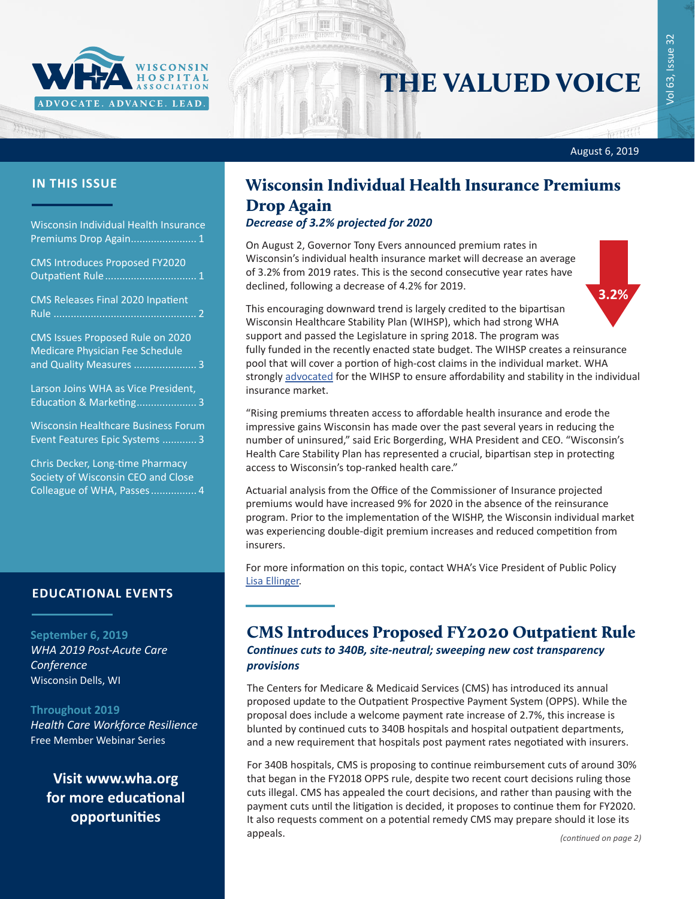

# THE VALUED VOICE

Wisconsin Individual Health Insurance Premiums Drop Again....................... 1

CMS Introduces Proposed FY2020 Outpatient Rule................................ 1

[CMS Releases Final 2020 Inpatient](#page-1-0)  Rule [..................................................](#page-1-0) 2

[CMS Issues Proposed Rule on 2020](#page-2-0)  [Medicare Physician Fee Schedule](#page-2-0)  [and Quality Measures](#page-2-0) ...................... 3

[Larson Joins WHA as Vice President,](#page-2-0)  [Education & Marketing](#page-2-0)..................... 3

[Wisconsin Healthcare Business Forum](#page-2-0)  [Event Features Epic Systems](#page-2-0) ............ 3

[Chris Decker, Long-time Pharmacy](#page-3-0)  [Society of Wisconsin CEO and Close](#page-3-0)  [Colleague of WHA, Passes................](#page-3-0) 4

#### **EDUCATIONAL EVENTS**

**September 6, 2019** *[WHA 2019 Post-Acute Care](http://www.cvent.com/d/5yq0y9)  [Conference](http://www.cvent.com/d/5yq0y9)* Wisconsin Dells, WI

#### **Throughout 2019**

*[Health Care Workforce Resilience](http://www.whareg4.org/WorkforceResilience/)* Free Member Webinar Series

**Visit [www.wha.org](https://www.wha.org) for more educational opportunities**

## **IN THIS ISSUE** Wisconsin Individual Health Insurance Premiums Drop Again

#### *Decrease of 3.2% projected for 2020*

On August 2, Governor Tony Evers announced premium rates in Wisconsin's individual health insurance market will decrease an average of 3.2% from 2019 rates. This is the second consecutive year rates have declined, following a decrease of 4.2% for 2019.



August 6, 2019

This encouraging downward trend is largely credited to the bipartisan Wisconsin Healthcare Stability Plan (WIHSP), which had strong WHA support and passed the Legislature in spring 2018. The program was fully funded in the recently enacted state budget. The WIHSP creates a reinsurance pool that will cover a portion of high-cost claims in the individual market. WHA strongly [advocated](https://www.wha.org/WisconsinHospitalAssociation/media/WHANewsLetters/2018PDF/WHA-Newsletter-7-31-2018.pdf#page=1) for the WIHSP to ensure affordability and stability in the individual insurance market.

"Rising premiums threaten access to affordable health insurance and erode the impressive gains Wisconsin has made over the past several years in reducing the number of uninsured," said Eric Borgerding, WHA President and CEO. "Wisconsin's Health Care Stability Plan has represented a crucial, bipartisan step in protecting access to Wisconsin's top-ranked health care."

Actuarial analysis from the Office of the Commissioner of Insurance projected premiums would have increased 9% for 2020 in the absence of the reinsurance program. Prior to the implementation of the WISHP, the Wisconsin individual market was experiencing double-digit premium increases and reduced competition from insurers.

For more information on this topic, contact WHA's Vice President of Public Policy [Lisa Ellinger](mailto:lellinger@wha.org).

## CMS Introduces Proposed FY2020 Outpatient Rule *Continues cuts to 340B, site-neutral; sweeping new cost transparency*

*provisions*

The Centers for Medicare & Medicaid Services (CMS) has introduced its annual proposed update to the Outpatient Prospective Payment System (OPPS). While the proposal does include a welcome payment rate increase of 2.7%, this increase is blunted by continued cuts to 340B hospitals and hospital outpatient departments, and a new requirement that hospitals post payment rates negotiated with insurers.

For 340B hospitals, CMS is proposing to continue reimbursement cuts of around 30% that began in the FY2018 OPPS rule, despite two recent court decisions ruling those cuts illegal. CMS has appealed the court decisions, and rather than pausing with the payment cuts until the litigation is decided, it proposes to continue them for FY2020. It also requests comment on a potential remedy CMS may prepare should it lose its appeals. *(continued on page 2)*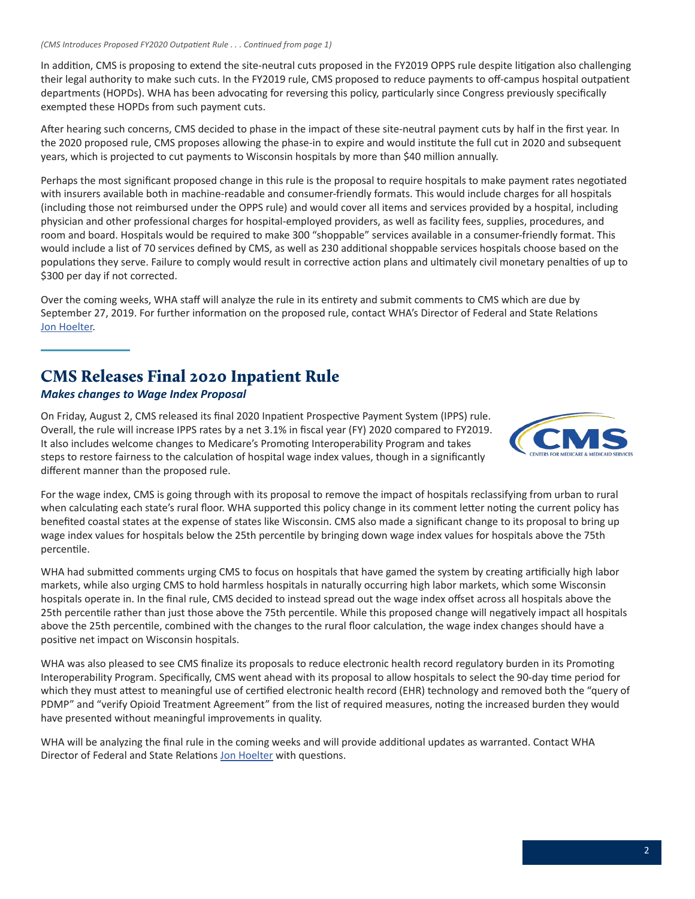<span id="page-1-0"></span>In addition, CMS is proposing to extend the site-neutral cuts proposed in the FY2019 OPPS rule despite litigation also challenging their legal authority to make such cuts. In the FY2019 rule, CMS proposed to reduce payments to off-campus hospital outpatient departments (HOPDs). WHA has been advocating for reversing this policy, particularly since Congress previously specifically exempted these HOPDs from such payment cuts.

After hearing such concerns, CMS decided to phase in the impact of these site-neutral payment cuts by half in the first year. In the 2020 proposed rule, CMS proposes allowing the phase-in to expire and would institute the full cut in 2020 and subsequent years, which is projected to cut payments to Wisconsin hospitals by more than \$40 million annually.

Perhaps the most significant proposed change in this rule is the proposal to require hospitals to make payment rates negotiated with insurers available both in machine-readable and consumer-friendly formats. This would include charges for all hospitals (including those not reimbursed under the OPPS rule) and would cover all items and services provided by a hospital, including physician and other professional charges for hospital-employed providers, as well as facility fees, supplies, procedures, and room and board. Hospitals would be required to make 300 "shoppable" services available in a consumer-friendly format. This would include a list of 70 services defined by CMS, as well as 230 additional shoppable services hospitals choose based on the populations they serve. Failure to comply would result in corrective action plans and ultimately civil monetary penalties of up to \$300 per day if not corrected.

Over the coming weeks, WHA staff will analyze the rule in its entirety and submit comments to CMS which are due by September 27, 2019. For further information on the proposed rule, contact WHA's Director of Federal and State Relations [Jon Hoelter](mailto:jhoelter@wha.org).

## CMS Releases Final 2020 Inpatient Rule

#### *Makes changes to Wage Index Proposal*

On Friday, August 2, CMS released its final 2020 Inpatient Prospective Payment System (IPPS) rule. Overall, the rule will increase IPPS rates by a net 3.1% in fiscal year (FY) 2020 compared to FY2019. It also includes welcome changes to Medicare's Promoting Interoperability Program and takes steps to restore fairness to the calculation of hospital wage index values, though in a significantly different manner than the proposed rule.



For the wage index, CMS is going through with its proposal to remove the impact of hospitals reclassifying from urban to rural when calculating each state's rural floor. WHA supported this policy change in its comment letter noting the current policy has benefited coastal states at the expense of states like Wisconsin. CMS also made a significant change to its proposal to bring up wage index values for hospitals below the 25th percentile by bringing down wage index values for hospitals above the 75th percentile.

WHA had submitted comments urging CMS to focus on hospitals that have gamed the system by creating artificially high labor markets, while also urging CMS to hold harmless hospitals in naturally occurring high labor markets, which some Wisconsin hospitals operate in. In the final rule, CMS decided to instead spread out the wage index offset across all hospitals above the 25th percentile rather than just those above the 75th percentile. While this proposed change will negatively impact all hospitals above the 25th percentile, combined with the changes to the rural floor calculation, the wage index changes should have a positive net impact on Wisconsin hospitals.

WHA was also pleased to see CMS finalize its proposals to reduce electronic health record regulatory burden in its Promoting Interoperability Program. Specifically, CMS went ahead with its proposal to allow hospitals to select the 90-day time period for which they must attest to meaningful use of certified electronic health record (EHR) technology and removed both the "query of PDMP" and "verify Opioid Treatment Agreement" from the list of required measures, noting the increased burden they would have presented without meaningful improvements in quality.

WHA will be analyzing the final rule in the coming weeks and will provide additional updates as warranted. Contact WHA Director of Federal and State Relations [Jon Hoelter](mailto:jhoelter@wha.org) with questions.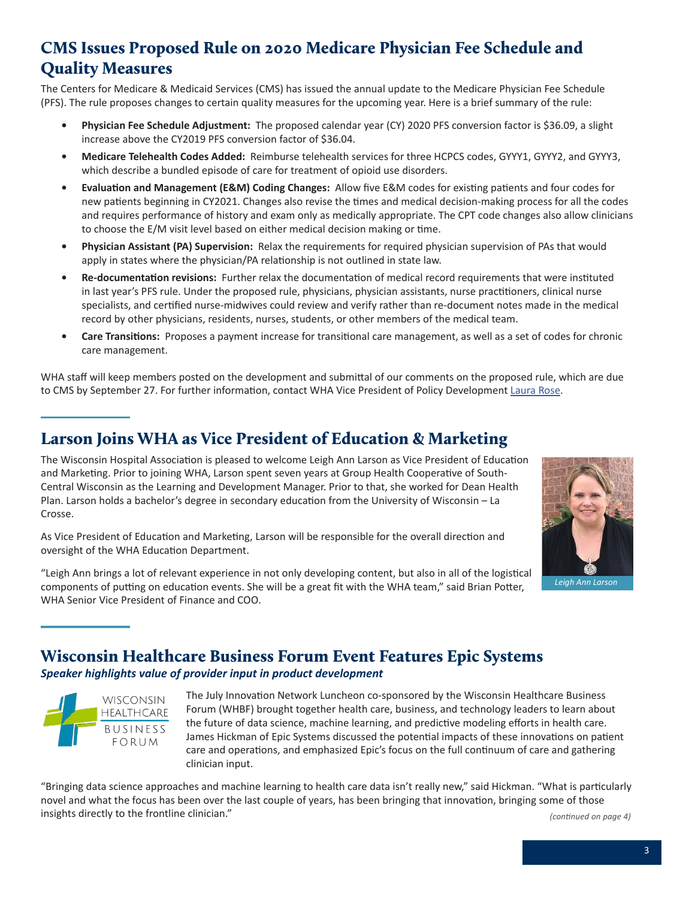## <span id="page-2-0"></span>CMS Issues Proposed Rule on 2020 Medicare Physician Fee Schedule and Quality Measures

The Centers for Medicare & Medicaid Services (CMS) has issued the annual update to the Medicare Physician Fee Schedule (PFS). The rule proposes changes to certain quality measures for the upcoming year. Here is a brief summary of the rule:

- **• Physician Fee Schedule Adjustment:** The proposed calendar year (CY) 2020 PFS conversion factor is \$36.09, a slight increase above the CY2019 PFS conversion factor of \$36.04.
- **• Medicare Telehealth Codes Added:** Reimburse telehealth services for three HCPCS codes, GYYY1, GYYY2, and GYYY3, which describe a bundled episode of care for treatment of opioid use disorders.
- **• Evaluation and Management (E&M) Coding Changes:** Allow five E&M codes for existing patients and four codes for new patients beginning in CY2021. Changes also revise the times and medical decision-making process for all the codes and requires performance of history and exam only as medically appropriate. The CPT code changes also allow clinicians to choose the E/M visit level based on either medical decision making or time.
- **• Physician Assistant (PA) Supervision:** Relax the requirements for required physician supervision of PAs that would apply in states where the physician/PA relationship is not outlined in state law.
- **• Re-documentation revisions:** Further relax the documentation of medical record requirements that were instituted in last year's PFS rule. Under the proposed rule, physicians, physician assistants, nurse practitioners, clinical nurse specialists, and certified nurse-midwives could review and verify rather than re-document notes made in the medical record by other physicians, residents, nurses, students, or other members of the medical team.
- **• Care Transitions:** Proposes a payment increase for transitional care management, as well as a set of codes for chronic care management.

WHA staff will keep members posted on the development and submittal of our comments on the proposed rule, which are due to CMS by September 27. For further information, contact WHA Vice President of Policy Development [Laura Rose.](mailto:lrose@wha.org)

## Larson Joins WHA as Vice President of Education & Marketing

The Wisconsin Hospital Association is pleased to welcome Leigh Ann Larson as Vice President of Education and Marketing. Prior to joining WHA, Larson spent seven years at Group Health Cooperative of South-Central Wisconsin as the Learning and Development Manager. Prior to that, she worked for Dean Health Plan. Larson holds a bachelor's degree in secondary education from the University of Wisconsin – La Crosse.

As Vice President of Education and Marketing, Larson will be responsible for the overall direction and oversight of the WHA Education Department.

"Leigh Ann brings a lot of relevant experience in not only developing content, but also in all of the logistical components of putting on education events. She will be a great fit with the WHA team," said Brian Potter, WHA Senior Vice President of Finance and COO.



*Leigh Ann Larson*

## Wisconsin Healthcare Business Forum Event Features Epic Systems

#### *Speaker highlights value of provider input in product development*



The July Innovation Network Luncheon co-sponsored by the Wisconsin Healthcare Business Forum (WHBF) brought together health care, business, and technology leaders to learn about the future of data science, machine learning, and predictive modeling efforts in health care. James Hickman of Epic Systems discussed the potential impacts of these innovations on patient care and operations, and emphasized Epic's focus on the full continuum of care and gathering clinician input.

"Bringing data science approaches and machine learning to health care data isn't really new," said Hickman. "What is particularly novel and what the focus has been over the last couple of years, has been bringing that innovation, bringing some of those insights directly to the frontline clinician." *(continued on page 4)*